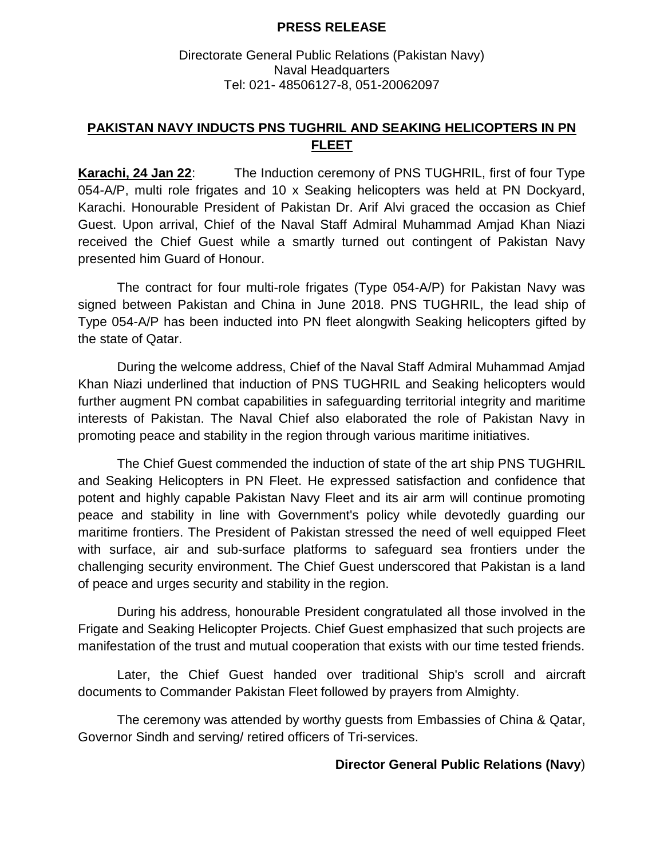## **PRESS RELEASE**

## Directorate General Public Relations (Pakistan Navy) Naval Headquarters Tel: 021- 48506127-8, 051-20062097

## **PAKISTAN NAVY INDUCTS PNS TUGHRIL AND SEAKING HELICOPTERS IN PN FLEET**

**Karachi, 24 Jan 22**: The Induction ceremony of PNS TUGHRIL, first of four Type 054-A/P, multi role frigates and 10 x Seaking helicopters was held at PN Dockyard, Karachi. Honourable President of Pakistan Dr. Arif Alvi graced the occasion as Chief Guest. Upon arrival, Chief of the Naval Staff Admiral Muhammad Amjad Khan Niazi received the Chief Guest while a smartly turned out contingent of Pakistan Navy presented him Guard of Honour.

The contract for four multi-role frigates (Type 054-A/P) for Pakistan Navy was signed between Pakistan and China in June 2018. PNS TUGHRIL, the lead ship of Type 054-A/P has been inducted into PN fleet alongwith Seaking helicopters gifted by the state of Qatar.

During the welcome address, Chief of the Naval Staff Admiral Muhammad Amjad Khan Niazi underlined that induction of PNS TUGHRIL and Seaking helicopters would further augment PN combat capabilities in safeguarding territorial integrity and maritime interests of Pakistan. The Naval Chief also elaborated the role of Pakistan Navy in promoting peace and stability in the region through various maritime initiatives.

The Chief Guest commended the induction of state of the art ship PNS TUGHRIL and Seaking Helicopters in PN Fleet. He expressed satisfaction and confidence that potent and highly capable Pakistan Navy Fleet and its air arm will continue promoting peace and stability in line with Government's policy while devotedly guarding our maritime frontiers. The President of Pakistan stressed the need of well equipped Fleet with surface, air and sub-surface platforms to safeguard sea frontiers under the challenging security environment. The Chief Guest underscored that Pakistan is a land of peace and urges security and stability in the region.

During his address, honourable President congratulated all those involved in the Frigate and Seaking Helicopter Projects. Chief Guest emphasized that such projects are manifestation of the trust and mutual cooperation that exists with our time tested friends.

Later, the Chief Guest handed over traditional Ship's scroll and aircraft documents to Commander Pakistan Fleet followed by prayers from Almighty.

The ceremony was attended by worthy guests from Embassies of China & Qatar, Governor Sindh and serving/ retired officers of Tri-services.

## **Director General Public Relations (Navy**)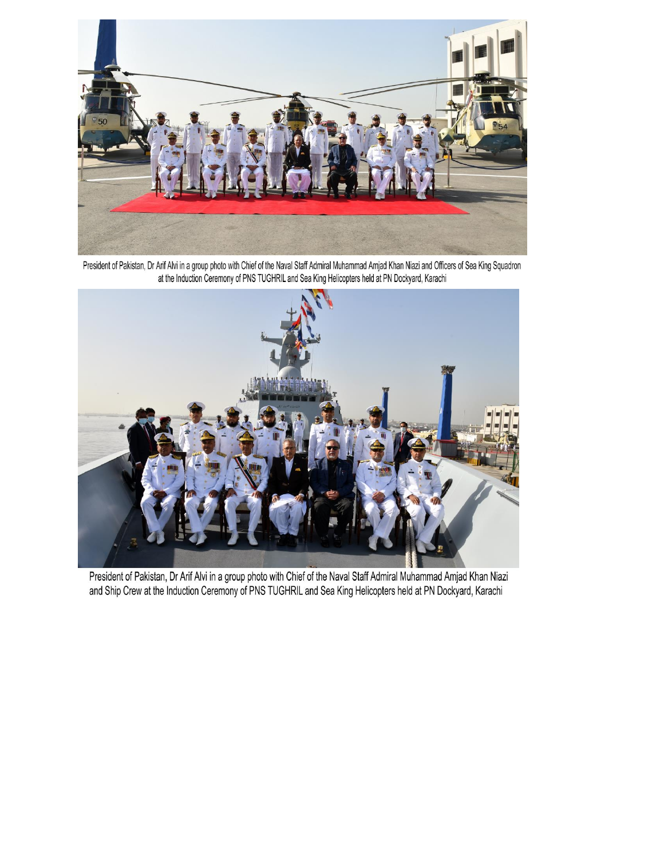

President of Pakistan, Dr Arif Alvi in a group photo with Chief of the Naval Staff Admiral Muhammad Amjad Khan Niazi and Officers of Sea King Squadron<br>at the Induction Ceremony of PNS TUGHRIL and Sea King Helicopters held



President of Pakistan, Dr Arif Alvi in a group photo with Chief of the Naval Staff Admiral Muhammad Amjad Khan Niazi and Ship Crew at the Induction Ceremony of PNS TUGHRIL and Sea King Helicopters held at PN Dockyard, Karachi